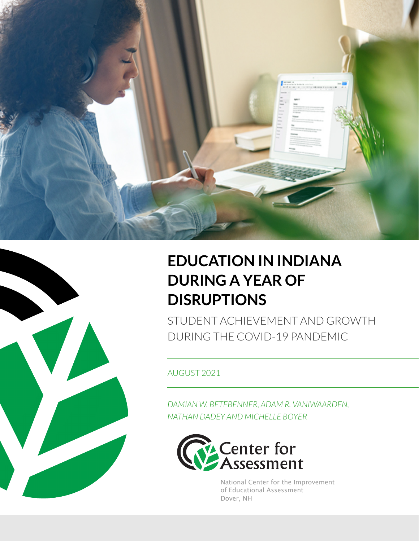



## **EDUCATION IN INDIANA DURING A YEAR OF DISRUPTIONS**

STUDENT ACHIEVEMENT AND GROWTH DURING THE COVID-19 PANDEMIC

AUGUST 2021

*DAMIAN W. BETEBENNER, ADAM R. VANIWAARDEN, NATHAN DADEY AND MICHELLE BOYER*



National Center for the Improvement of Educational Assessment Dover, NH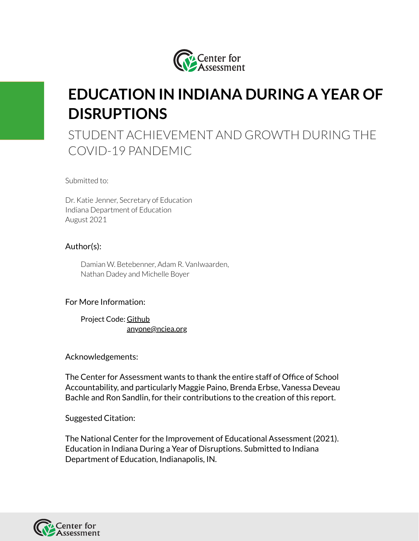

## **EDUCATION IN INDIANA DURING A YEAR OF DISRUPTIONS**

STUDENT ACHIEVEMENT AND GROWTH DURING THE COVID-19 PANDEMIC

Submitted to:

Dr. Katie Jenner, Secretary of Education Indiana Department of Education August 2021

#### Author(s):

Damian W. Betebenner, Adam R. VanIwaarden, Nathan Dadey and Michelle Boyer

#### For More Information:

Project Code: [Github](https://github.com/CenterForAssessment/SGP_Research/tree/master/Indiana/Learning_Loss_Analysis) [anyone@nciea.org](mailto:anyone@nciea.org)

Acknowledgements:

The Center for Assessment wants to thank the entire staff of Office of School Accountability, and particularly Maggie Paino, Brenda Erbse, Vanessa Deveau Bachle and Ron Sandlin, for their contributions to the creation of this report.

Suggested Citation:

The National Center for the Improvement of Educational Assessment (2021). Education in Indiana During a Year of Disruptions. Submitted to Indiana Department of Education, Indianapolis, IN.

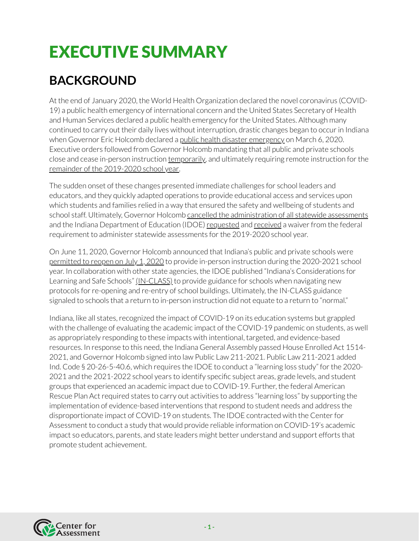# EXECUTIVE SUMMARY

## **BACKGROUND**

At the end of January 2020, the World Health Organization declared the novel coronavirus (COVID-19) a public health emergency of international concern and the United States Secretary of Health and Human Services declared a public health emergency for the United States. Although many continued to carry out their daily lives without interruption, drastic changes began to occurin Indiana when Governor Eric Holcomb declared a public health disaster [emergency](https://www.in.gov/gov/files/20-02ExecutiveOrderDeclarationofPublicHealthEmergencyforCOVID-19FINAL.pdf) on March 6, 2020. Executive orders followed from Governor Holcomb mandating that all public and private schools close and cease in-person instruction [temporarily](https://www.in.gov/gov/files/EO_20-05.pdf), and ultimately requiring remote instruction forthe remainder of the [2019-2020](https://www.in.gov/gov/files/Executive-Order-20-16-Education.pdf) school year.

The sudden onset of these changes presented immediate challenges for school leaders and educators, and they quickly adapted operations to provide educational access and services upon which students and families relied in a way that ensured the safety and wellbeing of students and school staff. Ultimately, Governor Holcomb cancelled the [administration](https://www.in.gov/gov/files/EO_20-05.pdf) of all statewide assessments and the Indiana Department of Education (IDOE) [requested](https://www.doe.in.gov/sites/default/files/essa/indiana-essa-waiver-request.pdf) and [received](https://www.doe.in.gov/sites/default/files/essa/used-essa-waiver-approval.pdf) a waiver from the federal requirement to administer statewide assessments forthe 2019-2020 school year.

On June 11, 2020, Governor Holcomb announced that Indiana's public and private schools were [permitted](https://www.in.gov/gov/files/Executive-Order-20-32-Stage-4.pdf) to reopen on July 1, 2020 to provide in-person instruction during the 2020-2021 school year. In collaboration with other state agencies, the IDOE published "Indiana's Considerations for Learning and Safe Schools" [\(IN-CLASS\)](https://www.doe.in.gov/COVID-19) to provide guidance for schools when navigating new protocols forre-opening and re-entry of school buildings. Ultimately, the IN-CLASS guidance signaled to schools that a return to in-person instruction did not equate to a return to "normal."

Indiana, like all states, recognized the impact of COVID-19 on its education systems but grappled with the challenge of evaluating the academic impact of the COVID-19 pandemic on students, as well as appropriately responding to these impacts with intentional, targeted, and evidence-based resources. In response to this need, the Indiana General Assembly passed House Enrolled Act 1514- 2021, and Governor Holcomb signed into law Public Law 211-2021. Public Law 211-2021 added Ind. Code § 20-26-5-40.6, which requires the IDOE to conduct a "learning loss study" forthe 2020- 2021 and the 2021-2022 school years to identify specific subject areas, grade levels, and student groups that experienced an academic impact due to COVID-19. Further, the federal American Rescue Plan Act required states to carry out activities to address "learning loss" by supporting the implementation of evidence-based interventions that respond to student needs and address the disproportionate impact of COVID-19 on students. The IDOE contracted with the Centerfor Assessment to conduct a study that would provide reliable information on COVID-19's academic impact so educators, parents, and state leaders might better understand and support efforts that promote student achievement.

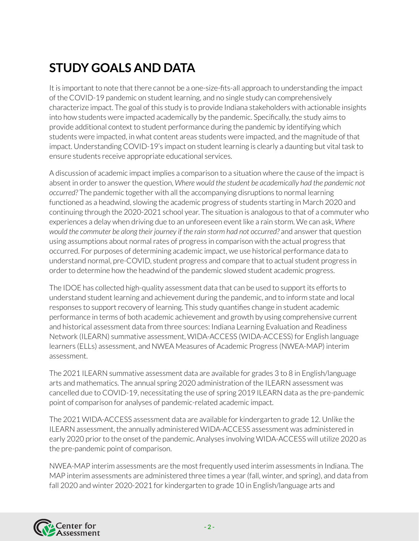## **STUDY GOALS AND DATA**

It is important to note that there cannot be a one-size-fits-all approach to understanding the impact of the COVID-19 pandemic on student learning, and no single study can comprehensively characterize impact. The goal of this study is to provide Indiana stakeholders with actionable insights into how students were impacted academically by the pandemic. Specifically, the study aims to provide additional context to student performance during the pandemic by identifying which students were impacted, in what content areas students were impacted, and the magnitude of that impact. Understanding COVID-19's impact on student learning is clearly a daunting but vital task to ensure students receive appropriate educational services.

A discussion of academic impact implies a comparison to a situation where the cause of the impact is absent in orderto answerthe question, *Where would the student be academically had the pandemic not occurred?* The pandemic together with all the accompanying disruptions to normal learning functioned as a headwind, slowing the academic progress of students starting in March 2020 and continuing through the 2020-2021 school year. The situation is analogous to that of a commuter who experiences a delay when driving due to an unforeseen event like a rain storm. We can ask, *Where would the commuter be along their journey if the rain storm had not occurred?* and answerthat question using assumptions about normal rates of progress in comparison with the actual progress that occurred. For purposes of determining academic impact, we use historical performance data to understand normal, pre-COVID, student progress and compare that to actual student progress in order to determine how the headwind of the pandemic slowed student academic progress.

The IDOE has collected high-quality assessment data that can be used to support its efforts to understand student learning and achievement during the pandemic, and to inform state and local responses to support recovery of learning. This study quantifies change in student academic performance in terms of both academic achievement and growth by using comprehensive current and historical assessment data from three sources: Indiana Learning Evaluation and Readiness Network (ILEARN) summative assessment, WIDA-ACCESS (WIDA-ACCESS) for English language learners (ELLs) assessment, and NWEA Measures of Academic Progress (NWEA-MAP) interim assessment.

The 2021 ILEARN summative assessment data are available for grades 3 to 8 in English/language arts and mathematics. The annual spring 2020 administration of the ILEARN assessment was cancelled due to COVID-19, necessitating the use of spring 2019 ILEARN data as the pre-pandemic point of comparison for analyses of pandemic-related academic impact.

The 2021 WIDA-ACCESS assessment data are available for kindergarten to grade 12. Unlike the ILEARN assessment, the annually administered WIDA-ACCESS assessment was administered in early 2020 prior to the onset of the pandemic. Analyses involving WIDA-ACCESS will utilize 2020 as the pre-pandemic point of comparison.

NWEA-MAP interim assessments are the most frequently used interim assessments in Indiana. The MAP interim assessments are administered three times a year (fall, winter, and spring), and data from fall 2020 and winter 2020-2021 for kindergarten to grade 10 in English/language arts and

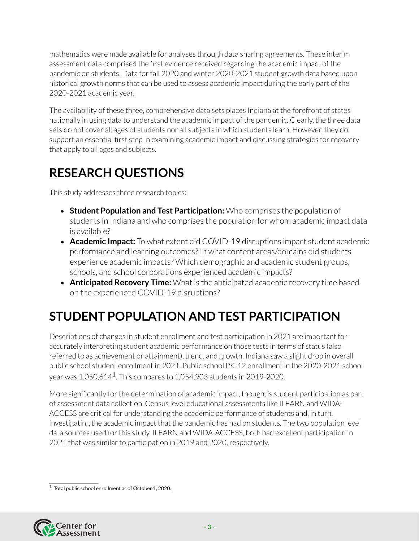mathematics were made available for analyses through data sharing agreements. These interim assessment data comprised the first evidence received regarding the academic impact of the pandemic on students. Data forfall 2020 and winter 2020-2021 student growth data based upon historical growth norms that can be used to assess academic impact during the early part of the 2020-2021 academic year.

The availability of these three, comprehensive data sets places Indiana at the forefront of states nationally in using data to understand the academic impact of the pandemic. Clearly, the three data sets do not cover all ages of students nor all subjects in which students learn. However, they do support an essential first step in examining academic impact and discussing strategies forrecovery that apply to all ages and subjects.

## **RESEARCH QUESTIONS**

This study addresses three research topics:

- **Student Population and Test Participation:** Who comprises the population of students in Indiana and who comprises the population for whom academic impact data is available?
- **Academic Impact:** To what extent did COVID-19 disruptions impact student academic performance and learning outcomes? In what content areas/domains did students experience academic impacts? Which demographic and academic student groups, schools, and school corporations experienced academic impacts?
- **Anticipated Recovery Time:** What is the anticipated academic recovery time based on the experienced COVID-19 disruptions?

## **STUDENT POPULATION AND TEST PARTICIPATION**

Descriptions of changes in student enrollment and test participation in 2021 are important for accurately interpreting student academic performance on those tests in terms of status (also referred to as achievement or attainment), trend, and growth. Indiana saw a slight drop in overall public school student enrollment in 2021. Public school PK-12 enrollment in the 2020-2021 school year was [1](#page-4-0),050,614 $^{\rm 1}$ . This compares to 1,054,903 students in 2019-2020.

More significantly for the determination of academic impact, though, is student participation as part of assessment data collection. Census level educational assessments like ILEARN and WIDA-ACCESS are critical for understanding the academic performance of students and, in turn, investigating the academic impact that the pandemic has had on students. The two population level data sources used forthis study, ILEARN and WIDA-ACCESS, both had excellent participation in 2021 that was similar to participation in 2019 and 2020, respectively.

<span id="page-4-0"></span><sup>&</sup>lt;sup>1</sup> Total public school enrollment as of [October](http://www.stats.indiana.edu/dms4/new_dpage.asp?profile_id=315&output_mode=1) 1, 2020.

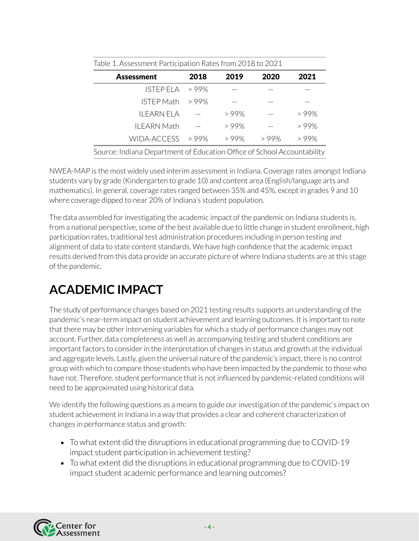| <b>Assessment</b>  | 2018 | 2019 | 2020 | 2021    |
|--------------------|------|------|------|---------|
| ISTEP ELA          | >99% |      |      |         |
| <b>ISTEP Math</b>  | >99% |      |      |         |
| II FARN FI A       |      | >99% |      | >99%    |
| <b>ILEARN Math</b> |      | >99% |      | >99%    |
| <b>WIDA-ACCESS</b> | >99% | >99% | >99% | $>99\%$ |

NWEA-MAP is the most widely used interim assessment in Indiana. Coverage rates amongst Indiana students vary by grade (Kindergarten to grade 10) and content area (English/language arts and mathematics). In general, coverage rates ranged between 35% and 45%, except in grades 9 and 10 where coverage dipped to near 20% of Indiana's student population.

The data assembled for investigating the academic impact of the pandemic on Indiana students is, from a national perspective, some of the best available due to little change in student enrollment, high participation rates, traditional test administration procedures including in person testing and alignment of data to state content standards. We have high confidence that the academic impact results derived from this data provide an accurate picture of where Indiana students are at this stage of the pandemic.

## **ACADEMIC IMPACT**

The study of performance changes based on 2021 testing results supports an understanding of the pandemic's near-term impact on student achievement and learning outcomes. It is important to note that there may be other intervening variables for which a study of performance changes may not account. Further, data completeness as well as accompanying testing and student conditions are important factors to consider in the interpretation of changes in status and growth at the individual and aggregate levels. Lastly, given the universal nature of the pandemic's impact, there is no control group with which to compare those students who have been impacted by the pandemic to those who have not. Therefore, student performance that is not influenced by pandemic-related conditions will need to be approximated using historical data.

We identify the following questions as a means to guide our investigation of the pandemic's impact on student achievement in Indiana in a way that provides a clear and coherent characterization of changes in performance status and growth:

- To what extent did the disruptions in educational programming due to COVID-19 impact student participation in achievement testing?
- To what extent did the disruptions in educational programming due to COVID-19 impact student academic performance and learning outcomes?

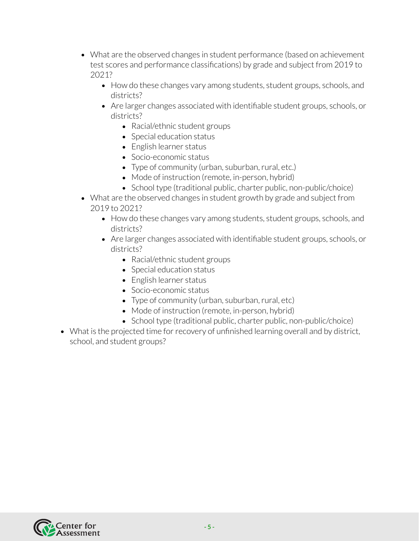- What are the observed changes in student performance (based on achievement test scores and performance classifications) by grade and subject from 2019 to 2021?
	- How do these changes vary among students, student groups, schools, and districts?
	- Are larger changes associated with identifiable student groups, schools, or districts?
		- Racial/ethnic student groups
		- Special education status
		- English learner status
		- Socio-economic status
		- Type of community (urban, suburban, rural, etc.)
		- Mode of instruction (remote, in-person, hybrid)
		- School type (traditional public, charter public, non-public/choice)
- What are the observed changes in student growth by grade and subject from 2019 to 2021?
	- How do these changes vary among students, student groups, schools, and districts?
	- Are larger changes associated with identifiable student groups, schools, or districts?
		- Racial/ethnic student groups
		- Special education status
		- English learner status
		- Socio-economic status
		- Type of community (urban, suburban, rural, etc)
		- Mode of instruction (remote, in-person, hybrid)
		- School type (traditional public, charter public, non-public/choice)
- What is the projected time for recovery of unfinished learning overall and by district, school, and student groups?

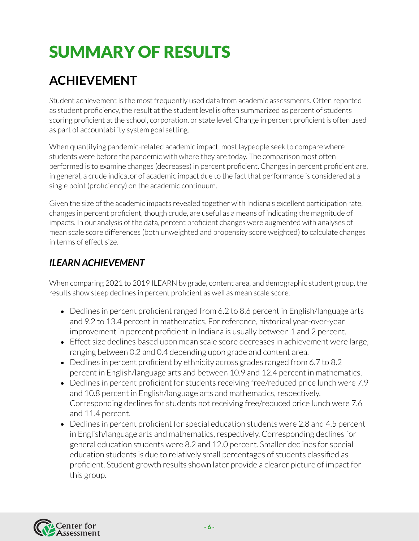# SUMMARY OF RESULTS

## **ACHIEVEMENT**

Student achievement is the most frequently used data from academic assessments. Often reported as student proficiency, the result at the student level is often summarized as percent of students scoring proficient at the school, corporation, or state level. Change in percent proficient is often used as part of accountability system goal setting.

When quantifying pandemic-related academic impact, most laypeople seek to compare where students were before the pandemic with where they are today. The comparison most often performed is to examine changes (decreases) in percent proficient. Changes in percent proficient are, in general, a crude indicator of academic impact due to the fact that performance is considered at a single point (proficiency) on the academic continuum.

Given the size of the academic impacts revealed together with Indiana's excellent participation rate, changes in percent proficient, though crude, are useful as a means of indicating the magnitude of impacts. In our analysis of the data, percent proficient changes were augmented with analyses of mean scale score differences (both unweighted and propensity score weighted) to calculate changes in terms of effect size.

### *ILEARN ACHIEVEMENT*

When comparing 2021 to 2019 ILEARN by grade, content area, and demographic student group, the results show steep declines in percent proficient as well as mean scale score.

- Declines in percent proficient ranged from 6.2 to 8.6 percent in English/language arts and 9.2 to 13.4 percent in mathematics. Forreference, historical year-over-year improvement in percent proficient in Indiana is usually between 1 and 2 percent.
- Effect size declines based upon mean scale score decreases in achievement were large, ranging between 0.2 and 0.4 depending upon grade and content area.
- Declines in percent proficient by ethnicity across grades ranged from 6.7 to 8.2 percent in English/language arts and between 10.9 and 12.4 percent in mathematics.
- Declines in percent proficient for students receiving free/reduced price lunch were 7.9 and 10.8 percent in English/language arts and mathematics,respectively. Corresponding declines for students not receiving free/reduced price lunch were 7.6 and 11.4 percent.
- Declines in percent proficient for special education students were 2.8 and 4.5 percent in English/language arts and mathematics, respectively. Corresponding declines for general education students were 8.2 and 12.0 percent. Smaller declines for special education students is due to relatively small percentages of students classified as proficient. Student growth results shown later provide a clearer picture of impact for this group.

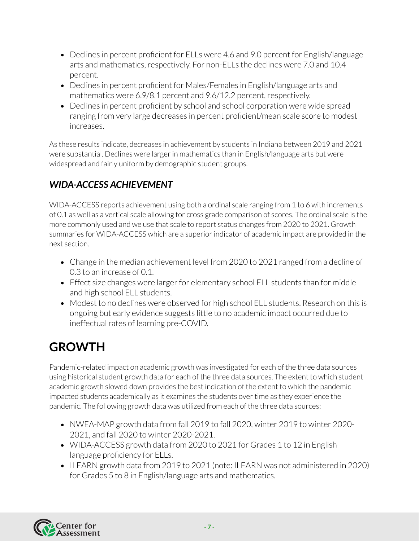- Declines in percent proficient for ELLs were 4.6 and 9.0 percent for English/language arts and mathematics, respectively. For non-ELLs the declines were 7.0 and 10.4 percent.
- Declines in percent proficient for Males/Females in English/language arts and mathematics were 6.9/8.1 percent and 9.6/12.2 percent, respectively.
- Declines in percent proficient by school and school corporation were wide spread ranging from very large decreases in percent proficient/mean scale score to modest increases.

As these results indicate, decreases in achievement by students in Indiana between 2019 and 2021 were substantial. Declines were larger in mathematics than in English/language arts but were widespread and fairly uniform by demographic student groups.

### *WIDA-ACCESS ACHIEVEMENT*

WIDA-ACCESS reports achievement using both a ordinal scale ranging from 1 to 6 with increments of 0.1 as well as a vertical scale allowing for cross grade comparison of scores. The ordinal scale is the more commonly used and we use that scale to report status changes from 2020 to 2021. Growth summaries for WIDA-ACCESS which are a superior indicator of academic impact are provided in the next section.

- Change in the median achievement level from 2020 to 2021 ranged from a decline of 0.3 to an increase of 0.1.
- Effect size changes were larger for elementary school ELL students than for middle and high school ELL students.
- Modest to no declines were observed for high school ELL students. Research on this is ongoing but early evidence suggests little to no academic impact occurred due to ineffectual rates of learning pre-COVID.

## **GROWTH**

Pandemic-related impact on academic growth was investigated for each of the three data sources using historical student growth data for each of the three data sources. The extent to which student academic growth slowed down provides the best indication of the extent to which the pandemic impacted students academically as it examines the students overtime as they experience the pandemic. The following growth data was utilized from each of the three data sources:

- NWEA-MAP growth data from fall 2019 to fall 2020, winter 2019 to winter 2020- 2021, and fall 2020 to winter 2020-2021.
- WIDA-ACCESS growth data from 2020 to 2021 for Grades 1 to 12 in English language proficiency for ELLs.
- ILEARN growth data from 2019 to 2021 (note: ILEARN was not administered in 2020) for Grades 5 to 8 in English/language arts and mathematics.

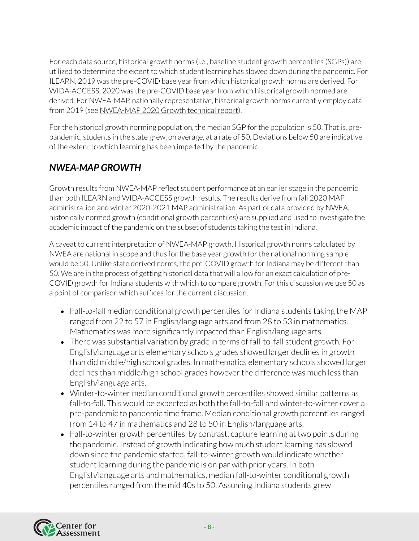For each data source, historical growth norms (i.e., baseline student growth percentiles (SGPs)) are utilized to determine the extent to which student learning has slowed down during the pandemic. For ILEARN, 2019 was the pre-COVID base year from which historical growth norms are derived. For WIDA-ACCESS, 2020 was the pre-COVID base year from which historical growth normed are derived. For NWEA-MAP, nationally representative, historical growth norms currently employ data from 2019 (see NWEA-MAP 2020 Growth technical report).

For the historical growth norming population, the median SGP for the population is 50. That is, prepandemic, students in the state grew, on average, at a rate of 50. Deviations below 50 are indicative of the extent to which learning has been impeded by the pandemic.

### *NWEA-MAP GROWTH*

Growth results from NWEA-MAP reflect student performance at an earlier stage in the pandemic than both ILEARN and WIDA-ACCESS growth results. The results derive from fall 2020 MAP administration and winter 2020-2021 MAP administration. As part of data provided by NWEA, historically normed growth (conditional growth percentiles) are supplied and used to investigate the academic impact of the pandemic on the subset of students taking the test in Indiana.

A caveat to current interpretation of NWEA-MAP growth. Historical growth norms calculated by NWEA are national in scope and thus for the base year growth for the national norming sample would be 50. Unlike state derived norms, the pre-COVID growth for Indiana may be different than 50. We are in the process of getting historical data that will allow for an exact calculation of pre-COVID growth for Indiana students with which to compare growth. For this discussion we use 50 as a point of comparison which suffices for the current discussion.

- Fall-to-fall median conditional growth percentiles for Indiana students taking the MAP ranged from 22 to 57 in English/language arts and from 28 to 53 in mathematics. Mathematics was more significantly impacted than English/language arts.
- There was substantial variation by grade in terms of fall-to-fall student growth. For English/language arts elementary schools grades showed larger declines in growth than did middle/high school grades. In mathematics elementary schools showed larger declines than middle/high school grades however the difference was much less than English/language arts.
- Winter-to-winter median conditional growth percentiles showed similar patterns as fall-to-fall. This would be expected as both the fall-to-fall and winter-to-winter cover a pre-pandemic to pandemic time frame. Median conditional growth percentiles ranged from 14 to 47 in mathematics and 28 to 50 in English/language arts.
- Fall-to-winter growth percentiles, by contrast, capture learning at two points during the pandemic. Instead of growth indicating how much student learning has slowed down since the pandemic started, fall-to-winter growth would indicate whether student learning during the pandemic is on par with prior years. In both English/language arts and mathematics, median fall-to-winter conditional growth percentiles ranged from the mid 40s to 50. Assuming Indiana students grew

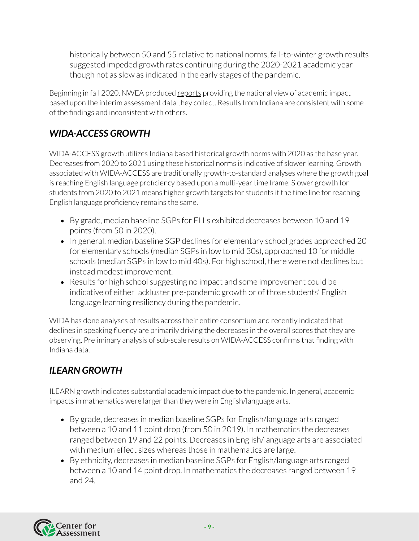historically between 50 and 55 relative to national norms, fall-to-winter growth results suggested impeded growth rates continuing during the 2020-2021 academic year – though not as slow as indicated in the early stages of the pandemic.

Beginning in fall 2020, NWEA produced [reports](https://www.nwea.org/research/theme/covid-19-and-schools/) providing the national view of academic impact based upon the interim assessment data they collect. Results from Indiana are consistent with some of the findings and inconsistent with others.

### *WIDA-ACCESS GROWTH*

WIDA-ACCESS growth utilizes Indiana based historical growth norms with 2020 as the base year. Decreases from 2020 to 2021 using these historical norms is indicative of slower learning. Growth associated with WIDA-ACCESS are traditionally growth-to-standard analyses where the growth goal is reaching English language proficiency based upon a multi-yeartime frame. Slower growth for students from 2020 to 2021 means higher growth targets for students if the time line forreaching English language proficiency remains the same.

- By grade, median baseline SGPs for ELLs exhibited decreases between 10 and 19 points (from 50 in 2020).
- In general, median baseline SGP declines for elementary school grades approached 20 for elementary schools (median SGPs in low to mid 30s), approached 10 for middle schools (median SGPs in low to mid 40s). For high school, there were not declines but instead modest improvement.
- Results for high school suggesting no impact and some improvement could be indicative of either lackluster pre-pandemic growth or of those students' English language learning resiliency during the pandemic.

WIDA has done analyses of results across their entire consortium and recently indicated that declines in speaking fluency are primarily driving the decreases in the overall scores that they are observing. Preliminary analysis of sub-scale results on WIDA-ACCESS confirms that finding with Indiana data.

### *ILEARN GROWTH*

ILEARN growth indicates substantial academic impact due to the pandemic. In general, academic impacts in mathematics were larger than they were in English/language arts.

- By grade, decreases in median baseline SGPs for English/language arts ranged between a 10 and 11 point drop (from 50 in 2019). In mathematics the decreases ranged between 19 and 22 points. Decreases in English/language arts are associated with medium effect sizes whereas those in mathematics are large.
- By ethnicity, decreases in median baseline SGPs for English/language arts ranged between a 10 and 14 point drop. In mathematics the decreases ranged between 19 and 24.

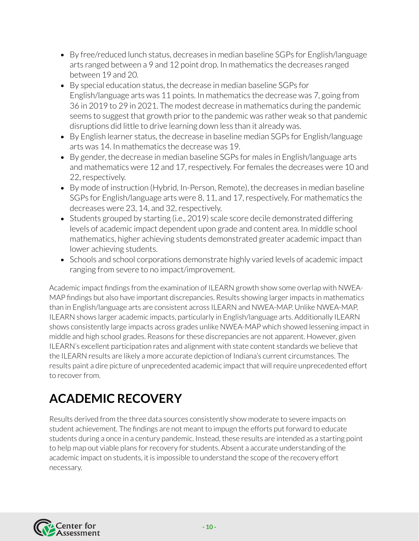- By free/reduced lunch status, decreases in median baseline SGPs for English/language arts ranged between a 9 and 12 point drop. In mathematics the decreases ranged between 19 and 20.
- By special education status, the decrease in median baseline SGPs for English/language arts was 11 points. In mathematics the decrease was 7, going from 36 in 2019 to 29 in 2021. The modest decrease in mathematics during the pandemic seems to suggest that growth prior to the pandemic was rather weak so that pandemic disruptions did little to drive learning down less than it already was.
- By English learner status, the decrease in baseline median SGPs for English/language arts was 14. In mathematics the decrease was 19.
- By gender, the decrease in median baseline SGPs for males in English/language arts and mathematics were 12 and 17, respectively. For females the decreases were 10 and 22,respectively.
- By mode of instruction (Hybrid, In-Person, Remote), the decreases in median baseline SGPs for English/language arts were 8, 11, and 17,respectively. For mathematics the decreases were 23, 14, and 32, respectively.
- Students grouped by starting (i.e., 2019) scale score decile demonstrated differing levels of academic impact dependent upon grade and content area. In middle school mathematics, higher achieving students demonstrated greater academic impact than lower achieving students.
- Schools and school corporations demonstrate highly varied levels of academic impact ranging from severe to no impact/improvement.

Academic impact findings from the examination of ILEARN growth show some overlap with NWEA-MAP findings but also have important discrepancies. Results showing larger impacts in mathematics than in English/language arts are consistent across ILEARN and NWEA-MAP. Unlike NWEA-MAP, ILEARN shows larger academic impacts, particularly in English/language arts. Additionally ILEARN shows consistently large impacts across grades unlike NWEA-MAP which showed lessening impact in middle and high school grades. Reasons for these discrepancies are not apparent. However, given ILEARN's excellent participation rates and alignment with state content standards we believe that the ILEARN results are likely a more accurate depiction of Indiana's current circumstances. The results paint a dire picture of unprecedented academic impact that willrequire unprecedented effort to recover from.

## **ACADEMIC RECOVERY**

Results derived from the three data sources consistently show moderate to severe impacts on student achievement. The findings are not meant to impugn the efforts put forward to educate students during a once in a century pandemic. Instead, these results are intended as a starting point to help map out viable plans for recovery for students. Absent a accurate understanding of the academic impact on students, it is impossible to understand the scope of the recovery effort necessary.

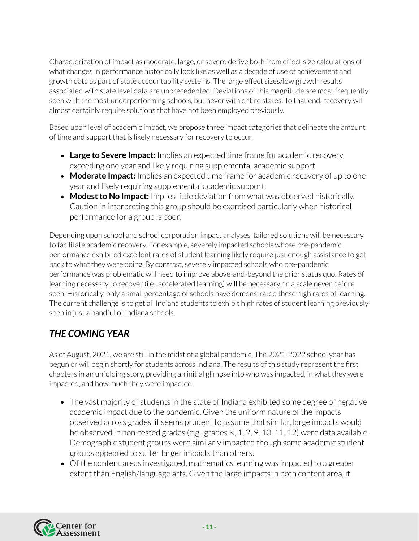Characterization of impact as moderate, large, or severe derive both from effect size calculations of what changes in performance historically look like as well as a decade of use of achievement and growth data as part of state accountability systems. The large effect sizes/low growth results associated with state level data are unprecedented. Deviations of this magnitude are most frequently seen with the most underperforming schools, but never with entire states. To that end, recovery will almost certainly require solutions that have not been employed previously.

Based upon level of academic impact, we propose three impact categories that delineate the amount of time and support that is likely necessary for recovery to occur.

- **Large to Severe Impact:** Implies an expected time frame for academic recovery exceeding one year and likely requiring supplemental academic support.
- **Moderate Impact:** Implies an expected time frame for academic recovery of up to one year and likely requiring supplemental academic support.
- **Modestto No Impact:** Implies little deviation from what was observed historically. Caution in interpreting this group should be exercised particularly when historical performance for a group is poor.

Depending upon school and school corporation impact analyses, tailored solutions will be necessary to facilitate academic recovery. For example, severely impacted schools whose pre-pandemic performance exhibited excellent rates of student learning likely require just enough assistance to get back to what they were doing. By contrast, severely impacted schools who pre-pandemic performance was problematic will need to improve above-and-beyond the prior status quo. Rates of learning necessary to recover (i.e., accelerated learning) will be necessary on a scale never before seen. Historically, only a small percentage of schools have demonstrated these high rates of learning. The current challenge is to get all Indiana students to exhibit high rates of student learning previously seen in just a handful of Indiana schools.

### *THE COMING YEAR*

As of August, 2021, we are still in the midst of a global pandemic. The 2021-2022 school year has begun or will begin shortly for students across Indiana. The results of this study represent the first chapters in an unfolding story, providing an initial glimpse into who was impacted, in what they were impacted, and how much they were impacted.

- The vast majority of students in the state of Indiana exhibited some degree of negative academic impact due to the pandemic. Given the uniform nature of the impacts observed across grades, it seems prudent to assume that similar, large impacts would be observed in non-tested grades (e.g., grades K, 1, 2, 9, 10, 11, 12) were data available. Demographic student groups were similarly impacted though some academic student groups appeared to sufferlargerimpacts than others.
- Of the content areas investigated, mathematics learning was impacted to a greater extent than English/language arts. Given the large impacts in both content area, it